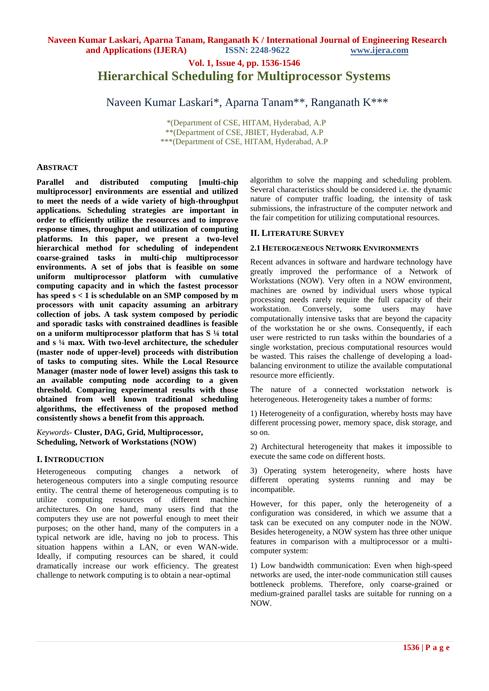**Vol. 1, Issue 4, pp. 1536-1546**

# **Hierarchical Scheduling for Multiprocessor Systems**

Naveen Kumar Laskari\*, Aparna Tanam\*\*, Ranganath K\*\*\*

 \*(Department of CSE, HITAM, Hyderabad, A.P \*\*(Department of CSE, JBIET, Hyderabad, A.P \*\*\*(Department of CSE, HITAM, Hyderabad, A.P

#### **ABSTRACT**

**Parallel and distributed computing [multi-chip multiprocessor] environments are essential and utilized to meet the needs of a wide variety of high-throughput applications. Scheduling strategies are important in order to efficiently utilize the resources and to improve response times, throughput and utilization of computing platforms. In this paper, we present a two-level hierarchical method for scheduling of independent coarse-grained tasks in multi-chip multiprocessor environments. A set of jobs that is feasible on some uniform multiprocessor platform with cumulative computing capacity and in which the fastest processor has speed s < 1 is schedulable on an SMP composed by m processors with unit capacity assuming an arbitrary collection of jobs. A task system composed by periodic and sporadic tasks with constrained deadlines is feasible on a uniform multiprocessor platform that has S ¼ total and s ¼ max. With two-level architecture, the scheduler (master node of upper-level) proceeds with distribution of tasks to computing sites. While the Local Resource Manager (master node of lower level) assigns this task to an available computing node according to a given threshold. Comparing experimental results with those obtained from well known traditional scheduling algorithms, the effectiveness of the proposed method consistently shows a benefit from this approach.**

*Keywords-* **Cluster, DAG, Grid, Multiprocessor, Scheduling, Network of Workstations (NOW)**

## **I. INTRODUCTION**

Heterogeneous computing changes a network of heterogeneous computers into a single computing resource entity. The central theme of heterogeneous computing is to utilize computing resources of different machine architectures. On one hand, many users find that the computers they use are not powerful enough to meet their purposes; on the other hand, many of the computers in a typical network are idle, having no job to process. This situation happens within a LAN, or even WAN-wide. Ideally, if computing resources can be shared, it could dramatically increase our work efficiency. The greatest challenge to network computing is to obtain a near-optimal

algorithm to solve the mapping and scheduling problem. Several characteristics should be considered i.e. the dynamic nature of computer traffic loading, the intensity of task submissions, the infrastructure of the computer network and the fair competition for utilizing computational resources.

#### **II. LITERATURE SURVEY**

#### **2.1 HETEROGENEOUS NETWORK ENVIRONMENTS**

Recent advances in software and hardware technology have greatly improved the performance of a Network of Workstations (NOW). Very often in a NOW environment, machines are owned by individual users whose typical processing needs rarely require the full capacity of their workstation. Conversely, some users may have computationally intensive tasks that are beyond the capacity of the workstation he or she owns. Consequently, if each user were restricted to run tasks within the boundaries of a single workstation, precious computational resources would be wasted. This raises the challenge of developing a loadbalancing environment to utilize the available computational resource more efficiently.

The nature of a connected workstation network is heterogeneous. Heterogeneity takes a number of forms:

1) Heterogeneity of a configuration, whereby hosts may have different processing power, memory space, disk storage, and so on.

2) Architectural heterogeneity that makes it impossible to execute the same code on different hosts.

3) Operating system heterogeneity, where hosts have different operating systems running and may be incompatible.

However, for this paper, only the heterogeneity of a configuration was considered, in which we assume that a task can be executed on any computer node in the NOW. Besides heterogeneity, a NOW system has three other unique features in comparison with a multiprocessor or a multicomputer system:

1) Low bandwidth communication: Even when high-speed networks are used, the inter-node communication still causes bottleneck problems. Therefore, only coarse-grained or medium-grained parallel tasks are suitable for running on a NOW.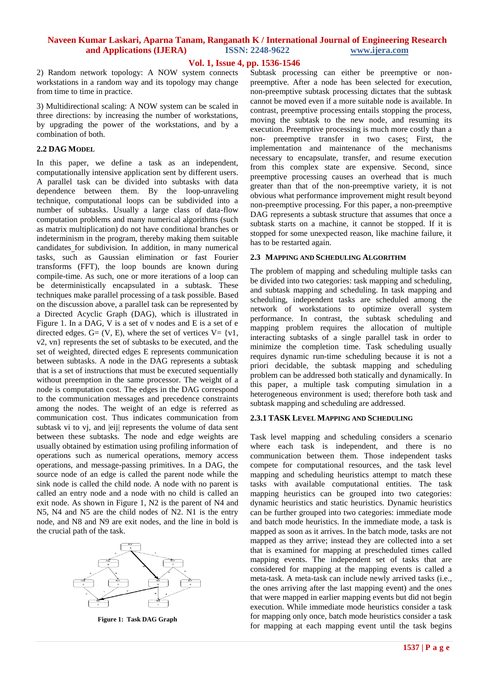## **Vol. 1, Issue 4, pp. 1536-1546**

2) Random network topology: A NOW system connects workstations in a random way and its topology may change from time to time in practice.

3) Multidirectional scaling: A NOW system can be scaled in three directions: by increasing the number of workstations, by upgrading the power of the workstations, and by a combination of both.

#### **2.2 DAG MODEL**

In this paper, we define a task as an independent, computationally intensive application sent by different users. A parallel task can be divided into subtasks with data dependence between them. By the loop-unraveling technique, computational loops can be subdivided into a number of subtasks. Usually a large class of data-flow computation problems and many numerical algorithms (such as matrix multiplication) do not have conditional branches or indeterminism in the program, thereby making them suitable candidates for subdivision. In addition, in many numerical tasks, such as Gaussian elimination or fast Fourier transforms (FFT), the loop bounds are known during compile-time. As such, one or more iterations of a loop can be deterministically encapsulated in a subtask. These techniques make parallel processing of a task possible. Based on the discussion above, a parallel task can be represented by a Directed Acyclic Graph (DAG), which is illustrated in Figure 1. In a DAG, V is a set of v nodes and E is a set of e directed edges. G=  $(V, E)$ , where the set of vertices V=  $\{v1,$ v2, vn} represents the set of subtasks to be executed, and the set of weighted, directed edges E represents communication between subtasks. A node in the DAG represents a subtask that is a set of instructions that must be executed sequentially without preemption in the same processor. The weight of a node is computation cost. The edges in the DAG correspond to the communication messages and precedence constraints among the nodes. The weight of an edge is referred as communication cost. Thus indicates communication from subtask vi to vj, and |eij| represents the volume of data sent between these subtasks. The node and edge weights are usually obtained by estimation using profiling information of operations such as numerical operations, memory access operations, and message-passing primitives. In a DAG, the source node of an edge is called the parent node while the sink node is called the child node. A node with no parent is called an entry node and a node with no child is called an exit node. As shown in Figure 1, N2 is the parent of N4 and N5, N4 and N5 are the child nodes of N2. N1 is the entry node, and N8 and N9 are exit nodes, and the line in bold is the crucial path of the task.



**Figure 1: Task DAG Graph**

Subtask processing can either be preemptive or nonpreemptive. After a node has been selected for execution, non-preemptive subtask processing dictates that the subtask cannot be moved even if a more suitable node is available. In contrast, preemptive processing entails stopping the process, moving the subtask to the new node, and resuming its execution. Preemptive processing is much more costly than a non- preemptive transfer in two cases: First, the implementation and maintenance of the mechanisms necessary to encapsulate, transfer, and resume execution from this complex state are expensive. Second, since preemptive processing causes an overhead that is much greater than that of the non-preemptive variety, it is not obvious what performance improvement might result beyond non-preemptive processing. For this paper, a non-preemptive DAG represents a subtask structure that assumes that once a subtask starts on a machine, it cannot be stopped. If it is stopped for some unexpected reason, like machine failure, it has to be restarted again.

#### **2.3 MAPPING AND SCHEDULING ALGORITHM**

The problem of mapping and scheduling multiple tasks can be divided into two categories: task mapping and scheduling, and subtask mapping and scheduling. In task mapping and scheduling, independent tasks are scheduled among the network of workstations to optimize overall system performance. In contrast, the subtask scheduling and mapping problem requires the allocation of multiple interacting subtasks of a single parallel task in order to minimize the completion time. Task scheduling usually requires dynamic run-time scheduling because it is not a priori decidable, the subtask mapping and scheduling problem can be addressed both statically and dynamically. In this paper, a multiple task computing simulation in a heterogeneous environment is used; therefore both task and subtask mapping and scheduling are addressed.

## **2.3.1 TASK LEVEL MAPPING AND SCHEDULING**

Task level mapping and scheduling considers a scenario where each task is independent, and there is no communication between them. Those independent tasks compete for computational resources, and the task level mapping and scheduling heuristics attempt to match these tasks with available computational entities. The task mapping heuristics can be grouped into two categories: dynamic heuristics and static heuristics. Dynamic heuristics can be further grouped into two categories: immediate mode and batch mode heuristics. In the immediate mode, a task is mapped as soon as it arrives. In the batch mode, tasks are not mapped as they arrive; instead they are collected into a set that is examined for mapping at prescheduled times called mapping events. The independent set of tasks that are considered for mapping at the mapping events is called a meta-task. A meta-task can include newly arrived tasks (i.e., the ones arriving after the last mapping event) and the ones that were mapped in earlier mapping events but did not begin execution. While immediate mode heuristics consider a task for mapping only once, batch mode heuristics consider a task for mapping at each mapping event until the task begins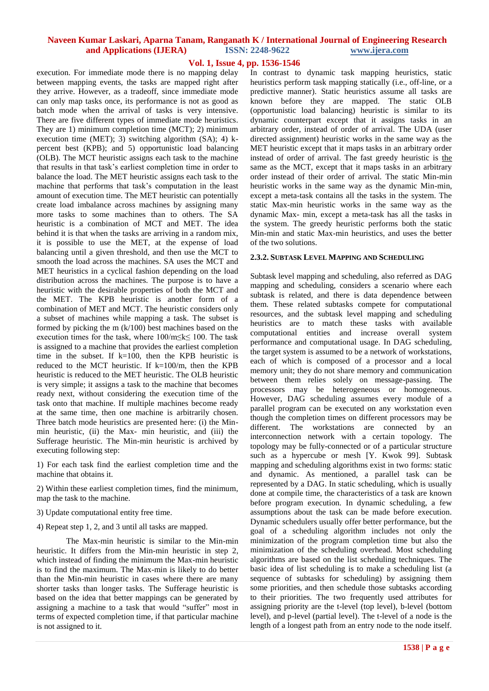## **Vol. 1, Issue 4, pp. 1536-1546**

execution. For immediate mode there is no mapping delay between mapping events, the tasks are mapped right after they arrive. However, as a tradeoff, since immediate mode can only map tasks once, its performance is not as good as batch mode when the arrival of tasks is very intensive. There are five different types of immediate mode heuristics. They are 1) minimum completion time (MCT); 2) minimum execution time (MET); 3) switching algorithm (SA); 4) kpercent best (KPB); and 5) opportunistic load balancing (OLB). The MCT heuristic assigns each task to the machine that results in that task's earliest completion time in order to balance the load. The MET heuristic assigns each task to the machine that performs that task's computation in the least amount of execution time. The MET heuristic can potentially create load imbalance across machines by assigning many more tasks to some machines than to others. The SA heuristic is a combination of MCT and MET. The idea behind it is that when the tasks are arriving in a random mix, it is possible to use the MET, at the expense of load balancing until a given threshold, and then use the MCT to smooth the load across the machines. SA uses the MCT and MET heuristics in a cyclical fashion depending on the load distribution across the machines. The purpose is to have a heuristic with the desirable properties of both the MCT and the MET. The KPB heuristic is another form of a combination of MET and MCT. The heuristic considers only a subset of machines while mapping a task. The subset is formed by picking the m (k/100) best machines based on the execution times for the task, where 100/m≤k≤ 100. The task is assigned to a machine that provides the earliest completion time in the subset. If  $k=100$ , then the KPB heuristic is reduced to the MCT heuristic. If  $k=100/m$ , then the KPB heuristic is reduced to the MET heuristic. The OLB heuristic is very simple; it assigns a task to the machine that becomes ready next, without considering the execution time of the task onto that machine. If multiple machines become ready at the same time, then one machine is arbitrarily chosen. Three batch mode heuristics are presented here: (i) the Minmin heuristic, (ii) the Max- min heuristic, and (iii) the Sufferage heuristic. The Min-min heuristic is archived by executing following step:

1) For each task find the earliest completion time and the machine that obtains it.

2) Within these earliest completion times, find the minimum, map the task to the machine.

- 3) Update computational entity free time.
- 4) Repeat step 1, 2, and 3 until all tasks are mapped.

The Max-min heuristic is similar to the Min-min heuristic. It differs from the Min-min heuristic in step 2, which instead of finding the minimum the Max-min heuristic is to find the maximum. The Max-min is likely to do better than the Min-min heuristic in cases where there are many shorter tasks than longer tasks. The Sufferage heuristic is based on the idea that better mappings can be generated by assigning a machine to a task that would "suffer" most in terms of expected completion time, if that particular machine is not assigned to it.

In contrast to dynamic task mapping heuristics, static heuristics perform task mapping statically (i.e., off-line, or a predictive manner). Static heuristics assume all tasks are known before they are mapped. The static OLB (opportunistic load balancing) heuristic is similar to its dynamic counterpart except that it assigns tasks in an arbitrary order, instead of order of arrival. The UDA (user directed assignment) heuristic works in the same way as the MET heuristic except that it maps tasks in an arbitrary order instead of order of arrival. The fast greedy heuristic is the same as the MCT, except that it maps tasks in an arbitrary order instead of their order of arrival. The static Min-min heuristic works in the same way as the dynamic Min-min, except a meta-task contains all the tasks in the system. The static Max-min heuristic works in the same way as the dynamic Max- min, except a meta-task has all the tasks in the system. The greedy heuristic performs both the static Min-min and static Max-min heuristics, and uses the better of the two solutions.

#### **2.3.2. SUBTASK LEVEL MAPPING AND SCHEDULING**

Subtask level mapping and scheduling, also referred as DAG mapping and scheduling, considers a scenario where each subtask is related, and there is data dependence between them. These related subtasks compete for computational resources, and the subtask level mapping and scheduling heuristics are to match these tasks with available computational entities and increase overall system performance and computational usage. In DAG scheduling, the target system is assumed to be a network of workstations, each of which is composed of a processor and a local memory unit; they do not share memory and communication between them relies solely on message-passing. The processors may be heterogeneous or homogeneous. However, DAG scheduling assumes every module of a parallel program can be executed on any workstation even though the completion times on different processors may be different. The workstations are connected by an interconnection network with a certain topology. The topology may be fully-connected or of a particular structure such as a hypercube or mesh [Y. Kwok 99]. Subtask mapping and scheduling algorithms exist in two forms: static and dynamic. As mentioned, a parallel task can be represented by a DAG. In static scheduling, which is usually done at compile time, the characteristics of a task are known before program execution. In dynamic scheduling, a few assumptions about the task can be made before execution. Dynamic schedulers usually offer better performance, but the goal of a scheduling algorithm includes not only the minimization of the program completion time but also the minimization of the scheduling overhead. Most scheduling algorithms are based on the list scheduling techniques. The basic idea of list scheduling is to make a scheduling list (a sequence of subtasks for scheduling) by assigning them some priorities, and then schedule those subtasks according to their priorities. The two frequently used attributes for assigning priority are the t-level (top level), b-level (bottom level), and p-level (partial level). The t-level of a node is the length of a longest path from an entry node to the node itself.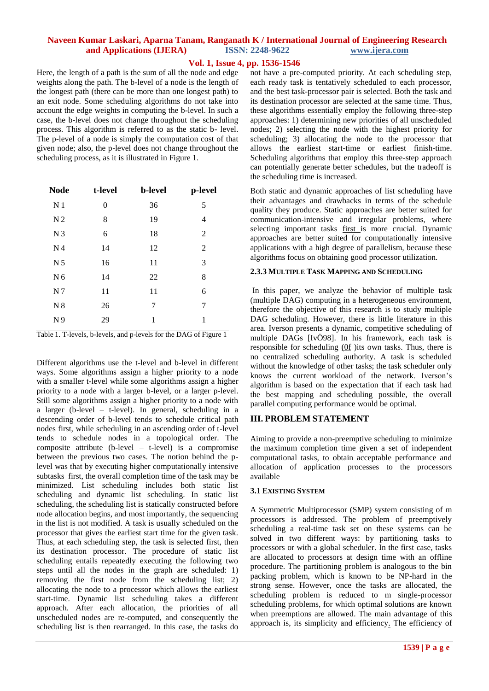# **Vol. 1, Issue 4, pp. 1536-1546**

Here, the length of a path is the sum of all the node and edge weights along the path. The b-level of a node is the length of the longest path (there can be more than one longest path) to an exit node. Some scheduling algorithms do not take into account the edge weights in computing the b-level. In such a case, the b-level does not change throughout the scheduling process. This algorithm is referred to as the static b- level. The p-level of a node is simply the computation cost of that given node; also, the p-level does not change throughout the scheduling process, as it is illustrated in Figure 1.

| <b>Node</b>    | t-level | <b>b</b> -level | p-level |
|----------------|---------|-----------------|---------|
| N <sub>1</sub> | 0       | 36              | 5       |
| N <sub>2</sub> | 8       | 19              | 4       |
| N <sub>3</sub> | 6       | 18              | 2       |
| N <sub>4</sub> | 14      | 12              | 2       |
| N <sub>5</sub> | 16      | 11              | 3       |
| N <sub>6</sub> | 14      | 22              | 8       |
| N <sub>7</sub> | 11      | 11              | 6       |
| N <sub>8</sub> | 26      | 7               | 7       |
| N <sub>9</sub> | 29      | 1               | 1       |

Table 1. T-levels, b-levels, and p-levels for the DAG of Figure 1

Different algorithms use the t-level and b-level in different ways. Some algorithms assign a higher priority to a node with a smaller t-level while some algorithms assign a higher priority to a node with a larger b-level, or a larger p-level. Still some algorithms assign a higher priority to a node with a larger (b-level – t-level). In general, scheduling in a descending order of b-level tends to schedule critical path nodes first, while scheduling in an ascending order of t-level tends to schedule nodes in a topological order. The composite attribute (b-level – t-level) is a compromise between the previous two cases. The notion behind the plevel was that by executing higher computationally intensive subtasks first, the overall completion time of the task may be minimized. List scheduling includes both static list scheduling and dynamic list scheduling. In static list scheduling, the scheduling list is statically constructed before node allocation begins, and most importantly, the sequencing in the list is not modified. A task is usually scheduled on the processor that gives the earliest start time for the given task. Thus, at each scheduling step, the task is selected first, then its destination processor. The procedure of static list scheduling entails repeatedly executing the following two steps until all the nodes in the graph are scheduled: 1) removing the first node from the scheduling list; 2) allocating the node to a processor which allows the earliest start-time. Dynamic list scheduling takes a different approach. After each allocation, the priorities of all unscheduled nodes are re-computed, and consequently the scheduling list is then rearranged. In this case, the tasks do

not have a pre-computed priority. At each scheduling step, each ready task is tentatively scheduled to each processor, and the best task-processor pair is selected. Both the task and its destination processor are selected at the same time. Thus, these algorithms essentially employ the following three-step approaches: 1) determining new priorities of all unscheduled nodes; 2) selecting the node with the highest priority for scheduling; 3) allocating the node to the processor that allows the earliest start-time or earliest finish-time. Scheduling algorithms that employ this three-step approach can potentially generate better schedules, but the tradeoff is the scheduling time is increased.

Both static and dynamic approaches of list scheduling have their advantages and drawbacks in terms of the schedule quality they produce. Static approaches are better suited for communication-intensive and irregular problems, where selecting important tasks first is more crucial. Dynamic approaches are better suited for computationally intensive applications with a high degree of parallelism, because these algorithms focus on obtaining good processor utilization.

#### **2.3.3 MULTIPLE TASK MAPPING AND SCHEDULING**

In this paper, we analyze the behavior of multiple task (multiple DAG) computing in a heterogeneous environment, therefore the objective of this research is to study multiple DAG scheduling. However, there is little literature in this area. Iverson presents a dynamic, competitive scheduling of multiple DAGs [IvÖ98]. In his framework, each task is responsible for scheduling (0f )its own tasks. Thus, there is no centralized scheduling authority. A task is scheduled without the knowledge of other tasks; the task scheduler only knows the current workload of the network. Iverson's algorithm is based on the expectation that if each task had the best mapping and scheduling possible, the overall parallel computing performance would be optimal.

## **III. PROBLEM STATEMENT**

Aiming to provide a non-preemptive scheduling to minimize the maximum completion time given a set of independent computational tasks, to obtain acceptable performance and allocation of application processes to the processors available

## **3.1 EXISTING SYSTEM**

A Symmetric Multiprocessor (SMP) system consisting of m processors is addressed. The problem of preemptively scheduling a real-time task set on these systems can be solved in two different ways: by partitioning tasks to processors or with a global scheduler. In the first case, tasks are allocated to processors at design time with an offline procedure. The partitioning problem is analogous to the bin packing problem, which is known to be NP-hard in the strong sense. However, once the tasks are allocated, the scheduling problem is reduced to m single-processor scheduling problems, for which optimal solutions are known when preemptions are allowed. The main advantage of this approach is, its simplicity and efficiency. The efficiency of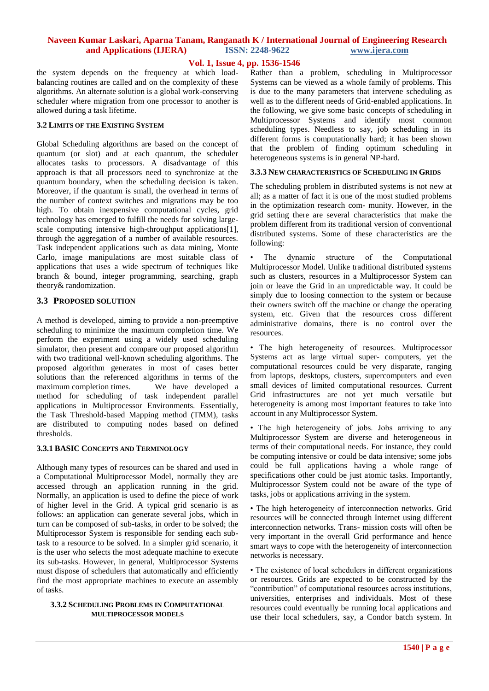# **Vol. 1, Issue 4, pp. 1536-1546**

the system depends on the frequency at which loadbalancing routines are called and on the complexity of these algorithms. An alternate solution is a global work-conserving scheduler where migration from one processor to another is allowed during a task lifetime.

#### **3.2 LIMITS OF THE EXISTING SYSTEM**

Global Scheduling algorithms are based on the concept of quantum (or slot) and at each quantum, the scheduler allocates tasks to processors. A disadvantage of this approach is that all processors need to synchronize at the quantum boundary, when the scheduling decision is taken. Moreover, if the quantum is small, the overhead in terms of the number of context switches and migrations may be too high. To obtain inexpensive computational cycles, grid technology has emerged to fulfill the needs for solving largescale computing intensive high-throughput applications[1], through the aggregation of a number of available resources. Task independent applications such as data mining, Monte Carlo, image manipulations are most suitable class of applications that uses a wide spectrum of techniques like branch & bound, integer programming, searching, graph theory& randomization.

## **3.3 PROPOSED SOLUTION**

A method is developed, aiming to provide a non-preemptive scheduling to minimize the maximum completion time. We perform the experiment using a widely used scheduling simulator, then present and compare our proposed algorithm with two traditional well-known scheduling algorithms. The proposed algorithm generates in most of cases better solutions than the referenced algorithms in terms of the maximum completion times. We have developed a method for scheduling of task independent parallel applications in Multiprocessor Environments. Essentially, the Task Threshold-based Mapping method (TMM), tasks are distributed to computing nodes based on defined thresholds.

## **3.3.1 BASIC CONCEPTS AND TERMINOLOGY**

Although many types of resources can be shared and used in a Computational Multiprocessor Model, normally they are accessed through an application running in the grid. Normally, an application is used to define the piece of work of higher level in the Grid. A typical grid scenario is as follows: an application can generate several jobs, which in turn can be composed of sub-tasks, in order to be solved; the Multiprocessor System is responsible for sending each subtask to a resource to be solved. In a simpler grid scenario, it is the user who selects the most adequate machine to execute its sub-tasks. However, in general, Multiprocessor Systems must dispose of schedulers that automatically and efficiently find the most appropriate machines to execute an assembly of tasks.

#### **3.3.2 SCHEDULING PROBLEMS IN COMPUTATIONAL MULTIPROCESSOR MODELS**

Rather than a problem, scheduling in Multiprocessor Systems can be viewed as a whole family of problems. This is due to the many parameters that intervene scheduling as well as to the different needs of Grid-enabled applications. In the following, we give some basic concepts of scheduling in Multiprocessor Systems and identify most common scheduling types. Needless to say, job scheduling in its different forms is computationally hard; it has been shown that the problem of finding optimum scheduling in heterogeneous systems is in general NP-hard.

#### **3.3.3 NEW CHARACTERISTICS OF SCHEDULING IN GRIDS**

The scheduling problem in distributed systems is not new at all; as a matter of fact it is one of the most studied problems in the optimization research com- munity. However, in the grid setting there are several characteristics that make the problem different from its traditional version of conventional distributed systems. Some of these characteristics are the following:

The dynamic structure of the Computational Multiprocessor Model. Unlike traditional distributed systems such as clusters, resources in a Multiprocessor System can join or leave the Grid in an unpredictable way. It could be simply due to loosing connection to the system or because their owners switch off the machine or change the operating system, etc. Given that the resources cross different administrative domains, there is no control over the resources.

• The high heterogeneity of resources. Multiprocessor Systems act as large virtual super- computers, yet the computational resources could be very disparate, ranging from laptops, desktops, clusters, supercomputers and even small devices of limited computational resources. Current Grid infrastructures are not yet much versatile but heterogeneity is among most important features to take into account in any Multiprocessor System.

• The high heterogeneity of jobs. Jobs arriving to any Multiprocessor System are diverse and heterogeneous in terms of their computational needs. For instance, they could be computing intensive or could be data intensive; some jobs could be full applications having a whole range of specifications other could be just atomic tasks. Importantly, Multiprocessor System could not be aware of the type of tasks, jobs or applications arriving in the system.

• The high heterogeneity of interconnection networks. Grid resources will be connected through Internet using different interconnection networks. Trans- mission costs will often be very important in the overall Grid performance and hence smart ways to cope with the heterogeneity of interconnection networks is necessary.

• The existence of local schedulers in different organizations or resources. Grids are expected to be constructed by the "contribution" of computational resources across institutions, universities, enterprises and individuals. Most of these resources could eventually be running local applications and use their local schedulers, say, a Condor batch system. In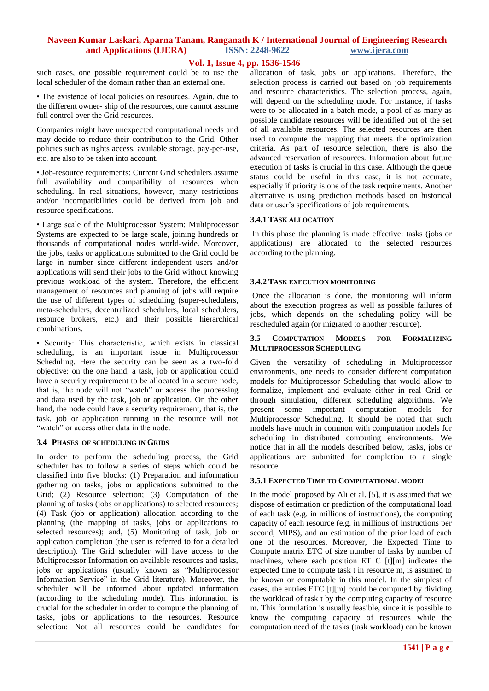# **Vol. 1, Issue 4, pp. 1536-1546**

such cases, one possible requirement could be to use the local scheduler of the domain rather than an external one.

• The existence of local policies on resources. Again, due to the different owner- ship of the resources, one cannot assume full control over the Grid resources.

Companies might have unexpected computational needs and may decide to reduce their contribution to the Grid. Other policies such as rights access, available storage, pay-per-use, etc. are also to be taken into account.

• Job-resource requirements: Current Grid schedulers assume full availability and compatibility of resources when scheduling. In real situations, however, many restrictions and/or incompatibilities could be derived from job and resource specifications.

• Large scale of the Multiprocessor System: Multiprocessor Systems are expected to be large scale, joining hundreds or thousands of computational nodes world-wide. Moreover, the jobs, tasks or applications submitted to the Grid could be large in number since different independent users and/or applications will send their jobs to the Grid without knowing previous workload of the system. Therefore, the efficient management of resources and planning of jobs will require the use of different types of scheduling (super-schedulers, meta-schedulers, decentralized schedulers, local schedulers, resource brokers, etc.) and their possible hierarchical combinations.

• Security: This characteristic, which exists in classical scheduling, is an important issue in Multiprocessor Scheduling. Here the security can be seen as a two-fold objective: on the one hand, a task, job or application could have a security requirement to be allocated in a secure node, that is, the node will not "watch" or access the processing and data used by the task, job or application. On the other hand, the node could have a security requirement, that is, the task, job or application running in the resource will not "watch" or access other data in the node.

#### **3.4 PHASES OF SCHEDULING IN GRIDS**

In order to perform the scheduling process, the Grid scheduler has to follow a series of steps which could be classified into five blocks: (1) Preparation and information gathering on tasks, jobs or applications submitted to the Grid; (2) Resource selection; (3) Computation of the planning of tasks (jobs or applications) to selected resources; (4) Task (job or application) allocation according to the planning (the mapping of tasks, jobs or applications to selected resources); and, (5) Monitoring of task, job or application completion (the user is referred to for a detailed description). The Grid scheduler will have access to the Multiprocessor Information on available resources and tasks, jobs or applications (usually known as "Multiprocessor Information Service" in the Grid literature). Moreover, the scheduler will be informed about updated information (according to the scheduling mode). This information is crucial for the scheduler in order to compute the planning of tasks, jobs or applications to the resources. Resource selection: Not all resources could be candidates for allocation of task, jobs or applications. Therefore, the selection process is carried out based on job requirements and resource characteristics. The selection process, again, will depend on the scheduling mode. For instance, if tasks were to be allocated in a batch mode, a pool of as many as possible candidate resources will be identified out of the set of all available resources. The selected resources are then used to compute the mapping that meets the optimization criteria. As part of resource selection, there is also the advanced reservation of resources. Information about future execution of tasks is crucial in this case. Although the queue status could be useful in this case, it is not accurate, especially if priority is one of the task requirements. Another alternative is using prediction methods based on historical data or user's specifications of job requirements.

#### **3.4.1 TASK ALLOCATION**

In this phase the planning is made effective: tasks (jobs or applications) are allocated to the selected resources according to the planning.

#### **3.4.2 TASK EXECUTION MONITORING**

Once the allocation is done, the monitoring will inform about the execution progress as well as possible failures of jobs, which depends on the scheduling policy will be rescheduled again (or migrated to another resource).

#### **3.5 COMPUTATION MODELS FOR FORMALIZING MULTIPROCESSOR SCHEDULING**

Given the versatility of scheduling in Multiprocessor environments, one needs to consider different computation models for Multiprocessor Scheduling that would allow to formalize, implement and evaluate either in real Grid or through simulation, different scheduling algorithms. We present some important computation models for Multiprocessor Scheduling. It should be noted that such models have much in common with computation models for scheduling in distributed computing environments. We notice that in all the models described below, tasks, jobs or applications are submitted for completion to a single resource.

#### **3.5.1 EXPECTED TIME TO COMPUTATIONAL MODEL**

In the model proposed by Ali et al. [5], it is assumed that we dispose of estimation or prediction of the computational load of each task (e.g. in millions of instructions), the computing capacity of each resource (e.g. in millions of instructions per second, MIPS), and an estimation of the prior load of each one of the resources. Moreover, the Expected Time to Compute matrix ETC of size number of tasks by number of machines, where each position ET C [t][m] indicates the expected time to compute task t in resource m, is assumed to be known or computable in this model. In the simplest of cases, the entries ETC [t][m] could be computed by dividing the workload of task t by the computing capacity of resource m. This formulation is usually feasible, since it is possible to know the computing capacity of resources while the computation need of the tasks (task workload) can be known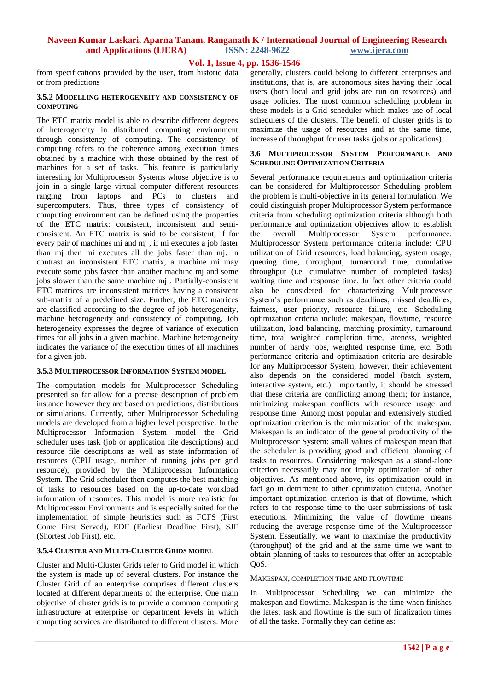# **Vol. 1, Issue 4, pp. 1536-1546**

from specifications provided by the user, from historic data or from predictions

#### **3.5.2 MODELLING HETEROGENEITY AND CONSISTENCY OF COMPUTING**

The ETC matrix model is able to describe different degrees of heterogeneity in distributed computing environment through consistency of computing. The consistency of computing refers to the coherence among execution times obtained by a machine with those obtained by the rest of machines for a set of tasks. This feature is particularly interesting for Multiprocessor Systems whose objective is to join in a single large virtual computer different resources ranging from laptops and PCs to clusters and supercomputers. Thus, three types of consistency of computing environment can be defined using the properties of the ETC matrix: consistent, inconsistent and semiconsistent. An ETC matrix is said to be consistent, if for every pair of machines mi and mj , if mi executes a job faster than mj then mi executes all the jobs faster than mj. In contrast an inconsistent ETC matrix, a machine mi may execute some jobs faster than another machine mj and some jobs slower than the same machine mj . Partially-consistent ETC matrices are inconsistent matrices having a consistent sub-matrix of a predefined size. Further, the ETC matrices are classified according to the degree of job heterogeneity, machine heterogeneity and consistency of computing. Job heterogeneity expresses the degree of variance of execution times for all jobs in a given machine. Machine heterogeneity indicates the variance of the execution times of all machines for a given job.

## **3.5.3 MULTIPROCESSOR INFORMATION SYSTEM MODEL**

The computation models for Multiprocessor Scheduling presented so far allow for a precise description of problem instance however they are based on predictions, distributions or simulations. Currently, other Multiprocessor Scheduling models are developed from a higher level perspective. In the Multiprocessor Information System model the Grid scheduler uses task (job or application file descriptions) and resource file descriptions as well as state information of resources (CPU usage, number of running jobs per grid resource), provided by the Multiprocessor Information System. The Grid scheduler then computes the best matching of tasks to resources based on the up-to-date workload information of resources. This model is more realistic for Multiprocessor Environments and is especially suited for the implementation of simple heuristics such as FCFS (First Come First Served), EDF (Earliest Deadline First), SJF (Shortest Job First), etc.

#### **3.5.4 CLUSTER AND MULTI-CLUSTER GRIDS MODEL**

Cluster and Multi-Cluster Grids refer to Grid model in which the system is made up of several clusters. For instance the Cluster Grid of an enterprise comprises different clusters located at different departments of the enterprise. One main objective of cluster grids is to provide a common computing infrastructure at enterprise or department levels in which computing services are distributed to different clusters. More generally, clusters could belong to different enterprises and institutions, that is, are autonomous sites having their local users (both local and grid jobs are run on resources) and usage policies. The most common scheduling problem in these models is a Grid scheduler which makes use of local schedulers of the clusters. The benefit of cluster grids is to maximize the usage of resources and at the same time, increase of throughput for user tasks (jobs or applications).

## **3.6 MULTIPROCESSOR SYSTEM PERFORMANCE AND SCHEDULING OPTIMIZATION CRITERIA**

Several performance requirements and optimization criteria can be considered for Multiprocessor Scheduling problem the problem is multi-objective in its general formulation. We could distinguish proper Multiprocessor System performance criteria from scheduling optimization criteria although both performance and optimization objectives allow to establish the overall Multiprocessor System performance. Multiprocessor System performance criteria include: CPU utilization of Grid resources, load balancing, system usage, queuing time, throughput, turnaround time, cumulative throughput (i.e. cumulative number of completed tasks) waiting time and response time. In fact other criteria could also be considered for characterizing Multiprocessor System's performance such as deadlines, missed deadlines, fairness, user priority, resource failure, etc. Scheduling optimization criteria include: makespan, flowtime, resource utilization, load balancing, matching proximity, turnaround time, total weighted completion time, lateness, weighted number of hardy jobs, weighted response time, etc. Both performance criteria and optimization criteria are desirable for any Multiprocessor System; however, their achievement also depends on the considered model (batch system, interactive system, etc.). Importantly, it should be stressed that these criteria are conflicting among them; for instance, minimizing makespan conflicts with resource usage and response time. Among most popular and extensively studied optimization criterion is the minimization of the makespan. Makespan is an indicator of the general productivity of the Multiprocessor System: small values of makespan mean that the scheduler is providing good and efficient planning of tasks to resources. Considering makespan as a stand-alone criterion necessarily may not imply optimization of other objectives. As mentioned above, its optimization could in fact go in detriment to other optimization criteria. Another important optimization criterion is that of flowtime, which refers to the response time to the user submissions of task executions. Minimizing the value of flowtime means reducing the average response time of the Multiprocessor System. Essentially, we want to maximize the productivity (throughput) of the grid and at the same time we want to obtain planning of tasks to resources that offer an acceptable OoS.

#### MAKESPAN, COMPLETION TIME AND FLOWTIME

In Multiprocessor Scheduling we can minimize the makespan and flowtime. Makespan is the time when finishes the latest task and flowtime is the sum of finalization times of all the tasks. Formally they can define as: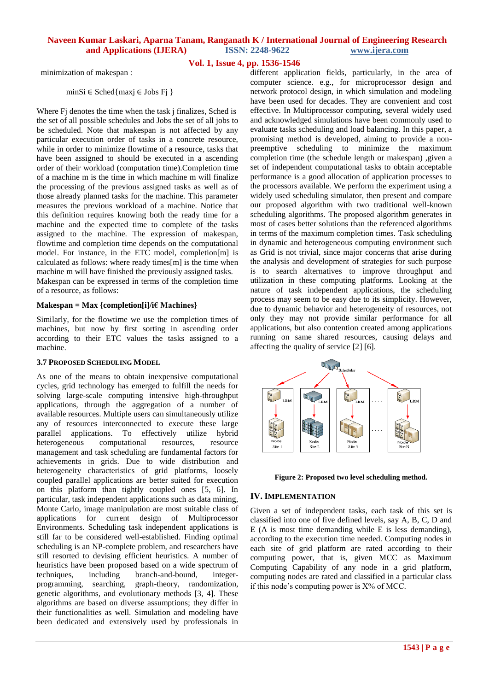# **Vol. 1, Issue 4, pp. 1536-1546**

minimization of makespan :

minSi ∈ Sched{maxj ∈ Jobs Fj }

Where Fj denotes the time when the task j finalizes, Sched is the set of all possible schedules and Jobs the set of all jobs to be scheduled. Note that makespan is not affected by any particular execution order of tasks in a concrete resource, while in order to minimize flowtime of a resource, tasks that have been assigned to should be executed in a ascending order of their workload (computation time).Completion time of a machine m is the time in which machine m will finalize the processing of the previous assigned tasks as well as of those already planned tasks for the machine. This parameter measures the previous workload of a machine. Notice that this definition requires knowing both the ready time for a machine and the expected time to complete of the tasks assigned to the machine. The expression of makespan, flowtime and completion time depends on the computational model. For instance, in the ETC model, completion[m] is calculated as follows: where ready times[m] is the time when machine m will have finished the previously assigned tasks. Makespan can be expressed in terms of the completion time of a resource, as follows:

#### **Makespan = Max {completion[i]/i€ Machines}**

Similarly, for the flowtime we use the completion times of machines, but now by first sorting in ascending order according to their ETC values the tasks assigned to a machine.

## **3.7 PROPOSED SCHEDULING MODEL**

As one of the means to obtain inexpensive computational cycles, grid technology has emerged to fulfill the needs for solving large-scale computing intensive high-throughput applications, through the aggregation of a number of available resources. Multiple users can simultaneously utilize any of resources interconnected to execute these large parallel applications. To effectively utilize hybrid heterogeneous computational resources, resource management and task scheduling are fundamental factors for achievements in grids. Due to wide distribution and heterogeneity characteristics of grid platforms, loosely coupled parallel applications are better suited for execution on this platform than tightly coupled ones [5, 6]. In particular, task independent applications such as data mining, Monte Carlo, image manipulation are most suitable class of applications for current design of Multiprocessor Environments. Scheduling task independent applications is still far to be considered well-established. Finding optimal scheduling is an NP-complete problem, and researchers have still resorted to devising efficient heuristics. A number of heuristics have been proposed based on a wide spectrum of techniques, including branch-and-bound, integerprogramming, searching, graph-theory, randomization, genetic algorithms, and evolutionary methods [3, 4]. These algorithms are based on diverse assumptions; they differ in their functionalities as well. Simulation and modeling have been dedicated and extensively used by professionals in

different application fields, particularly, in the area of computer science. e.g., for microprocessor design and network protocol design, in which simulation and modeling have been used for decades. They are convenient and cost effective. In Multiprocessor computing, several widely used and acknowledged simulations have been commonly used to evaluate tasks scheduling and load balancing. In this paper, a promising method is developed, aiming to provide a nonpreemptive scheduling to minimize the maximum completion time (the schedule length or makespan) ,given a set of independent computational tasks to obtain acceptable performance is a good allocation of application processes to the processors available. We perform the experiment using a widely used scheduling simulator, then present and compare our proposed algorithm with two traditional well-known scheduling algorithms. The proposed algorithm generates in most of cases better solutions than the referenced algorithms in terms of the maximum completion times. Task scheduling in dynamic and heterogeneous computing environment such as Grid is not trivial, since major concerns that arise during the analysis and development of strategies for such purpose is to search alternatives to improve throughput and utilization in these computing platforms. Looking at the nature of task independent applications, the scheduling process may seem to be easy due to its simplicity. However, due to dynamic behavior and heterogeneity of resources, not only they may not provide similar performance for all applications, but also contention created among applications running on same shared resources, causing delays and affecting the quality of service [2] [6].





## **IV. IMPLEMENTATION**

Given a set of independent tasks, each task of this set is classified into one of five defined levels, say A, B, C, D and E (A is most time demanding while E is less demanding), according to the execution time needed. Computing nodes in each site of grid platform are rated according to their computing power, that is, given MCC as Maximum Computing Capability of any node in a grid platform, computing nodes are rated and classified in a particular class if this node's computing power is X% of MCC.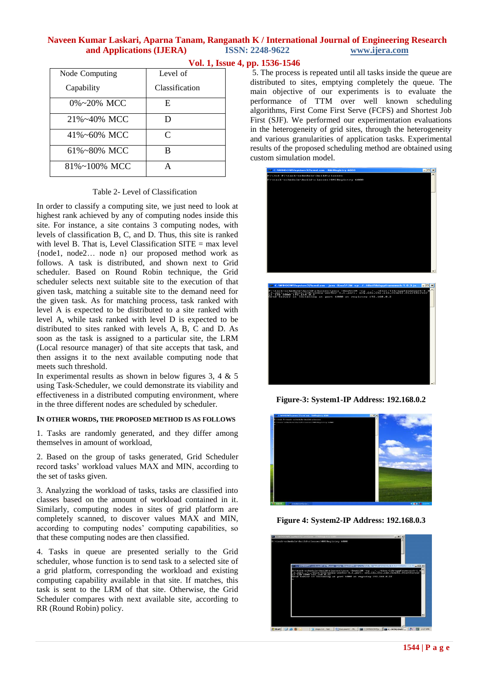| Node Computing      | Level of       |  |
|---------------------|----------------|--|
| Capability          | Classification |  |
| $0\% \sim 20\%$ MCC | E              |  |
| $21\% - 40\%$ MCC   | D              |  |
| $41\% - 60\%$ MCC   | C              |  |
| $61\% - 80\%$ MCC   | в              |  |
| 81%~100% MCC        |                |  |

# **Vol. 1, Issue 4, pp. 1536-1546**

5. The process is repeated until all tasks inside the queue are distributed to sites, emptying completely the queue. The main objective of our experiments is to evaluate the performance of TTM over well known scheduling algorithms, First Come First Serve (FCFS) and Shortest Job First (SJF). We performed our experimentation evaluations in the heterogeneity of grid sites, through the heterogeneity and various granularities of application tasks. Experimental results of the proposed scheduling method are obtained using custom simulation model.



**Figure-3: System1-IP Address: 192.168.0.2**

**Figure 4: System2-IP Address: 192.168.0.3**



In order to classify a computing site, we just need to look at highest rank achieved by any of computing nodes inside this site. For instance, a site contains 3 computing nodes, with levels of classification B, C, and D. Thus, this site is ranked with level B. That is, Level Classification  $SITE = max$  level {node1, node2… node n} our proposed method work as follows. A task is distributed, and shown next to Grid scheduler. Based on Round Robin technique, the Grid scheduler selects next suitable site to the execution of that given task, matching a suitable site to the demand need for the given task. As for matching process, task ranked with level A is expected to be distributed to a site ranked with level A, while task ranked with level D is expected to be distributed to sites ranked with levels A, B, C and D. As soon as the task is assigned to a particular site, the LRM (Local resource manager) of that site accepts that task, and then assigns it to the next available computing node that meets such threshold.

In experimental results as shown in below figures 3, 4  $\&$  5 using Task-Scheduler, we could demonstrate its viability and effectiveness in a distributed computing environment, where in the three different nodes are scheduled by scheduler.

# **IN OTHER WORDS, THE PROPOSED METHOD IS AS FOLLOWS**

1. Tasks are randomly generated, and they differ among themselves in amount of workload,

2. Based on the group of tasks generated, Grid Scheduler record tasks' workload values MAX and MIN, according to the set of tasks given.

3. Analyzing the workload of tasks, tasks are classified into classes based on the amount of workload contained in it. Similarly, computing nodes in sites of grid platform are completely scanned, to discover values MAX and MIN, according to computing nodes' computing capabilities, so that these computing nodes are then classified.

4. Tasks in queue are presented serially to the Grid scheduler, whose function is to send task to a selected site of a grid platform, corresponding the workload and existing computing capability available in that site. If matches, this task is sent to the LRM of that site. Otherwise, the Grid Scheduler compares with next available site, according to RR (Round Robin) policy.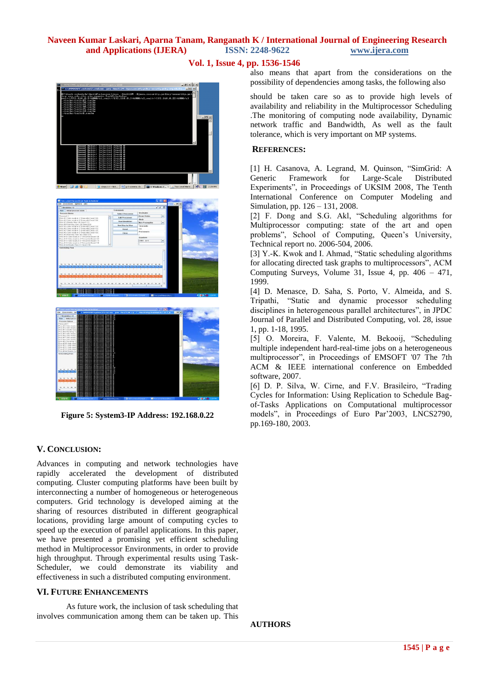

also means that apart from the considerations on the possibility of dependencies among tasks, the following also

should be taken care so as to provide high levels of availability and reliability in the Multiprocessor Scheduling .The monitoring of computing node availability, Dynamic network traffic and Bandwidth, As well as the fault tolerance, which is very important on MP systems.

## **REFERENCES:**

[1] H. Casanova, A. Legrand, M. Quinson, "SimGrid: A Generic Framework for Large-Scale Distributed Experiments", in Proceedings of UKSIM 2008, The Tenth International Conference on Computer Modeling and Simulation, pp. 126 – 131, 2008.

[2] F. Dong and S.G. Akl, "Scheduling algorithms for Multiprocessor computing: state of the art and open problems", School of Computing, Queen's University, Technical report no. 2006-504, 2006.

[3] Y.-K. Kwok and I. Ahmad, "Static scheduling algorithms for allocating directed task graphs to multiprocessors", ACM Computing Surveys, Volume 31, Issue 4, pp. 406 – 471, 1999.

[4] D. Menasce, D. Saha, S. Porto, V. Almeida, and S. Tripathi, "Static and dynamic processor scheduling disciplines in heterogeneous parallel architectures", in JPDC Journal of Parallel and Distributed Computing, vol. 28, issue 1, pp. 1-18, 1995.

[5] O. Moreira, F. Valente, M. Bekooij, "Scheduling multiple independent hard-real-time jobs on a heterogeneous multiprocessor", in Proceedings of EMSOFT '07 The 7th ACM & IEEE international conference on Embedded software, 2007.

[6] D. P. Silva, W. Cirne, and F.V. Brasileiro, "Trading Cycles for Information: Using Replication to Schedule Bagof-Tasks Applications on Computational multiprocessor models", in Proceedings of Euro Par'2003, LNCS2790, pp.169-180, 2003.





**Figure 5: System3-IP Address: 192.168.0.22**

# **V. CONCLUSION:**

Advances in computing and network technologies have rapidly accelerated the development of distributed computing. Cluster computing platforms have been built by interconnecting a number of homogeneous or heterogeneous computers. Grid technology is developed aiming at the sharing of resources distributed in different geographical locations, providing large amount of computing cycles to speed up the execution of parallel applications. In this paper, we have presented a promising yet efficient scheduling method in Multiprocessor Environments, in order to provide high throughput. Through experimental results using Task-Scheduler, we could demonstrate its viability and effectiveness in such a distributed computing environment.

# **VI. FUTURE ENHANCEMENTS**

As future work, the inclusion of task scheduling that involves communication among them can be taken up. This

**AUTHORS**